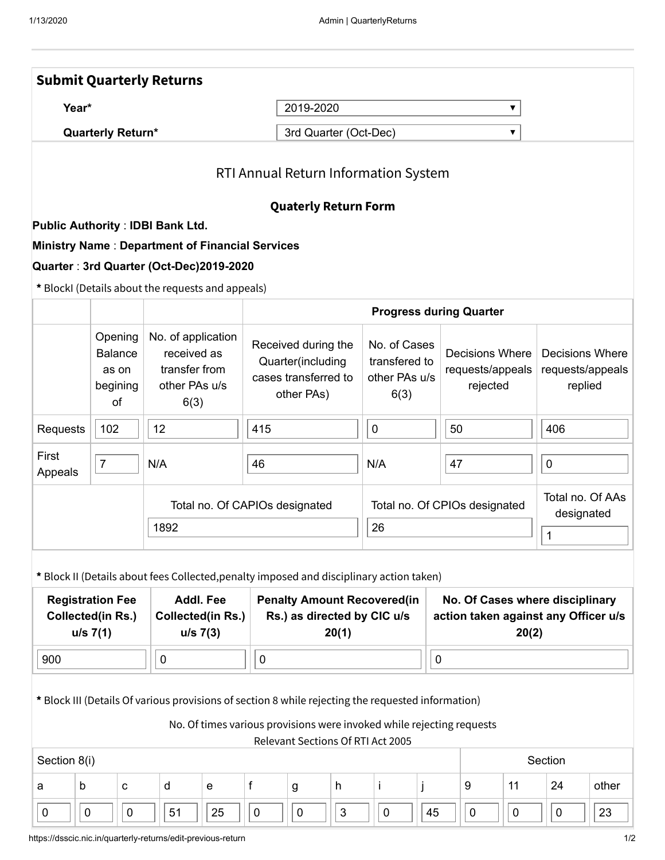| <b>Submit Quarterly Returns</b>                                                                                                                                                                                  |                                                            |                            |     |                                                                             |                                                                            |           |                                                                                |            |                                                                                  |                                                        |             |                                |                                                 |           |                                                |       |  |
|------------------------------------------------------------------------------------------------------------------------------------------------------------------------------------------------------------------|------------------------------------------------------------|----------------------------|-----|-----------------------------------------------------------------------------|----------------------------------------------------------------------------|-----------|--------------------------------------------------------------------------------|------------|----------------------------------------------------------------------------------|--------------------------------------------------------|-------------|--------------------------------|-------------------------------------------------|-----------|------------------------------------------------|-------|--|
| Year*                                                                                                                                                                                                            |                                                            |                            |     |                                                                             |                                                                            |           | 2019-2020<br>▼                                                                 |            |                                                                                  |                                                        |             |                                |                                                 |           |                                                |       |  |
| <b>Quarterly Return*</b>                                                                                                                                                                                         |                                                            | 3rd Quarter (Oct-Dec)<br>▼ |     |                                                                             |                                                                            |           |                                                                                |            |                                                                                  |                                                        |             |                                |                                                 |           |                                                |       |  |
| RTI Annual Return Information System                                                                                                                                                                             |                                                            |                            |     |                                                                             |                                                                            |           |                                                                                |            |                                                                                  |                                                        |             |                                |                                                 |           |                                                |       |  |
| <b>Quaterly Return Form</b><br><b>Public Authority: IDBI Bank Ltd.</b>                                                                                                                                           |                                                            |                            |     |                                                                             |                                                                            |           |                                                                                |            |                                                                                  |                                                        |             |                                |                                                 |           |                                                |       |  |
| <b>Ministry Name: Department of Financial Services</b>                                                                                                                                                           |                                                            |                            |     |                                                                             |                                                                            |           |                                                                                |            |                                                                                  |                                                        |             |                                |                                                 |           |                                                |       |  |
| Quarter: 3rd Quarter (Oct-Dec)2019-2020                                                                                                                                                                          |                                                            |                            |     |                                                                             |                                                                            |           |                                                                                |            |                                                                                  |                                                        |             |                                |                                                 |           |                                                |       |  |
| * BlockI (Details about the requests and appeals)                                                                                                                                                                |                                                            |                            |     |                                                                             |                                                                            |           |                                                                                |            |                                                                                  |                                                        |             |                                |                                                 |           |                                                |       |  |
|                                                                                                                                                                                                                  |                                                            |                            |     |                                                                             |                                                                            |           |                                                                                |            |                                                                                  |                                                        |             | <b>Progress during Quarter</b> |                                                 |           |                                                |       |  |
|                                                                                                                                                                                                                  | Opening<br><b>Balance</b><br>as on<br>begining<br>of       |                            |     | No. of application<br>received as<br>transfer from<br>other PAs u/s<br>6(3) |                                                                            |           | Received during the<br>Quarter(including<br>cases transferred to<br>other PAs) |            |                                                                                  | No. of Cases<br>transfered to<br>other PAs u/s<br>6(3) |             |                                | Decisions Where<br>requests/appeals<br>rejected |           | Decisions Where<br>requests/appeals<br>replied |       |  |
| Requests                                                                                                                                                                                                         | 102                                                        |                            | 12  |                                                                             |                                                                            | 415       |                                                                                |            | $\pmb{0}$                                                                        |                                                        |             | 50                             |                                                 |           | 406                                            |       |  |
| First<br>Appeals                                                                                                                                                                                                 | $\overline{7}$                                             |                            | N/A |                                                                             |                                                                            | 46        |                                                                                |            | N/A                                                                              |                                                        |             | 47                             |                                                 |           | $\pmb{0}$                                      |       |  |
|                                                                                                                                                                                                                  | Total no. Of CAPIOs designated                             |                            |     |                                                                             |                                                                            |           |                                                                                |            | Total no. Of CPIOs designated                                                    |                                                        |             | Total no. Of AAs<br>designated |                                                 |           |                                                |       |  |
|                                                                                                                                                                                                                  | 1892                                                       |                            |     |                                                                             | 26                                                                         |           |                                                                                |            |                                                                                  |                                                        | $\mathbf 1$ |                                |                                                 |           |                                                |       |  |
| * Block II (Details about fees Collected, penalty imposed and disciplinary action taken)                                                                                                                         |                                                            |                            |     |                                                                             |                                                                            |           |                                                                                |            |                                                                                  |                                                        |             |                                |                                                 |           |                                                |       |  |
| <b>Registration Fee</b><br><b>Collected(in Rs.)</b><br>u/s 7(1)                                                                                                                                                  | <b>Addl. Fee</b><br><b>Collected(in Rs.)</b><br>$u/s$ 7(3) |                            |     |                                                                             | <b>Penalty Amount Recovered(in</b><br>Rs.) as directed by CIC u/s<br>20(1) |           |                                                                                |            | No. Of Cases where disciplinary<br>action taken against any Officer u/s<br>20(2) |                                                        |             |                                |                                                 |           |                                                |       |  |
| 900                                                                                                                                                                                                              |                                                            |                            |     | $\pmb{0}$                                                                   |                                                                            |           | $\mathbf 0$                                                                    |            |                                                                                  |                                                        |             | $\mathbf 0$                    |                                                 |           |                                                |       |  |
| * Block III (Details Of various provisions of section 8 while rejecting the requested information)<br>No. Of times various provisions were invoked while rejecting requests<br>Relevant Sections Of RTI Act 2005 |                                                            |                            |     |                                                                             |                                                                            |           |                                                                                |            |                                                                                  |                                                        |             |                                |                                                 |           |                                                |       |  |
| Section 8(i)                                                                                                                                                                                                     |                                                            |                            |     |                                                                             |                                                                            |           |                                                                                |            |                                                                                  |                                                        |             |                                |                                                 |           | Section                                        |       |  |
| a                                                                                                                                                                                                                | b                                                          | $\mathbf{C}$               |     | d                                                                           | e                                                                          | f         | g                                                                              | h          |                                                                                  | İ.                                                     |             |                                | 9                                               | 11        | 24                                             | other |  |
| 0                                                                                                                                                                                                                | $\mathbf 0$                                                | $\boldsymbol{0}$           |     | 51                                                                          | 25                                                                         | $\pmb{0}$ | $\pmb{0}$                                                                      | $\sqrt{3}$ |                                                                                  | $\pmb{0}$                                              | 45          |                                | $\mathbf 0$                                     | $\pmb{0}$ | $\pmb{0}$                                      | 23    |  |
|                                                                                                                                                                                                                  |                                                            |                            |     |                                                                             |                                                                            |           |                                                                                |            |                                                                                  |                                                        |             |                                |                                                 |           |                                                |       |  |